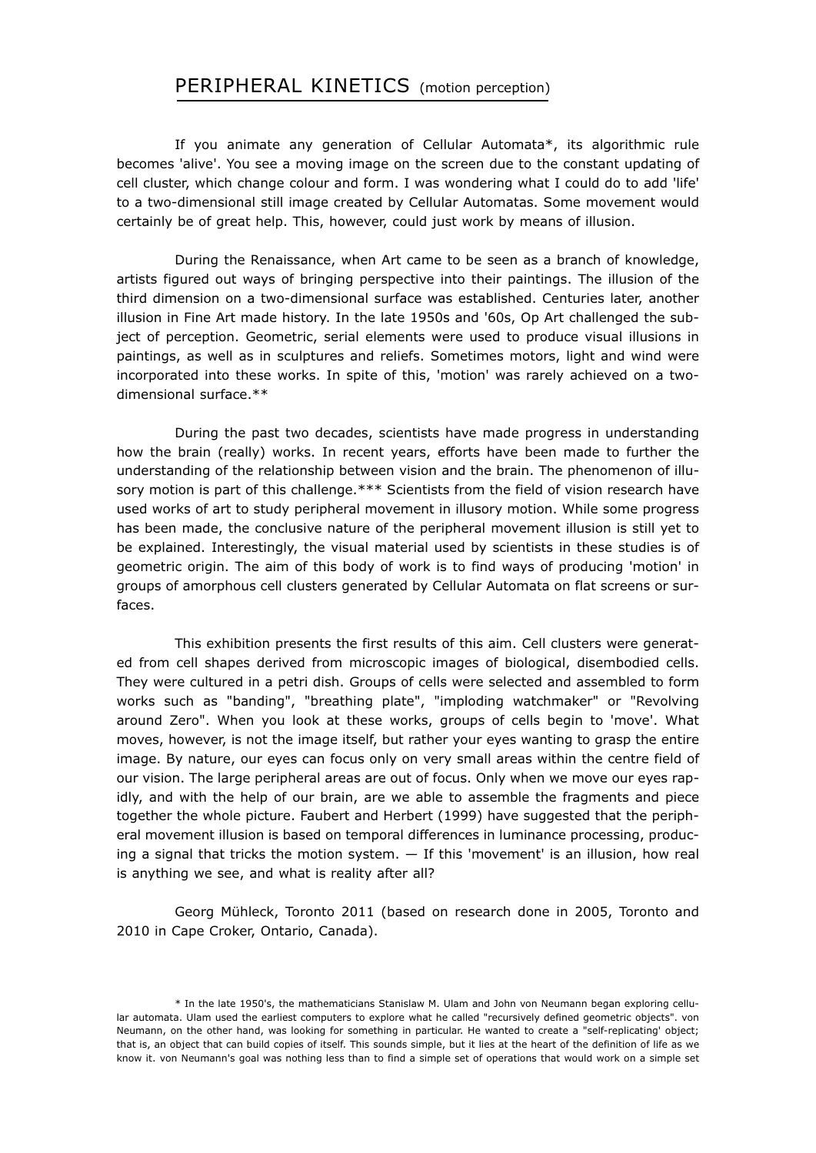## PERIPHERAL KINETICS (motion perception)

If you animate any generation of Cellular Automata\*, its algorithmic rule becomes 'alive'. You see a moving image on the screen due to the constant updating of cell cluster, which change colour and form. I was wondering what I could do to add 'life' to a two-dimensional still image created by Cellular Automatas. Some movement would certainly be of great help. This, however, could just work by means of illusion.

During the Renaissance, when Art came to be seen as a branch of knowledge, artists figured out ways of bringing perspective into their paintings. The illusion of the third dimension on a two-dimensional surface was established. Centuries later, another illusion in Fine Art made history. In the late 1950s and '60s, Op Art challenged the subject of perception. Geometric, serial elements were used to produce visual illusions in paintings, as well as in sculptures and reliefs. Sometimes motors, light and wind were incorporated into these works. In spite of this, 'motion' was rarely achieved on a twodimensional surface.\*\*

During the past two decades, scientists have made progress in understanding how the brain (really) works. In recent years, efforts have been made to further the understanding of the relationship between vision and the brain. The phenomenon of illusory motion is part of this challenge.\*\*\* Scientists from the field of vision research have used works of art to study peripheral movement in illusory motion. While some progress has been made, the conclusive nature of the peripheral movement illusion is still yet to be explained. Interestingly, the visual material used by scientists in these studies is of geometric origin. The aim of this body of work is to find ways of producing 'motion' in groups of amorphous cell clusters generated by Cellular Automata on flat screens or surfaces.

This exhibition presents the first results of this aim. Cell clusters were generated from cell shapes derived from microscopic images of biological, disembodied cells. They were cultured in a petri dish. Groups of cells were selected and assembled to form works such as "banding", "breathing plate", "imploding watchmaker" or "Revolving around Zero". When you look at these works, groups of cells begin to 'move'. What moves, however, is not the image itself, but rather your eyes wanting to grasp the entire image. By nature, our eyes can focus only on very small areas within the centre field of our vision. The large peripheral areas are out of focus. Only when we move our eyes rapidly, and with the help of our brain, are we able to assemble the fragments and piece together the whole picture. Faubert and Herbert (1999) have suggested that the peripheral movement illusion is based on temporal differences in luminance processing, producing a signal that tricks the motion system. — If this 'movement' is an illusion, how real is anything we see, and what is reality after all?

Georg Mühleck, Toronto 2011 (based on research done in 2005, Toronto and 2010 in Cape Croker, Ontario, Canada).

<sup>\*</sup> In the late 1950's, the mathematicians Stanislaw M. Ulam and John von Neumann began exploring cellular automata. Ulam used the earliest computers to explore what he called "recursively defined geometric objects". von Neumann, on the other hand, was looking for something in particular. He wanted to create a "self-replicating' object; that is, an object that can build copies of itself. This sounds simple, but it lies at the heart of the definition of life as we know it. von Neumann's goal was nothing less than to find a simple set of operations that would work on a simple set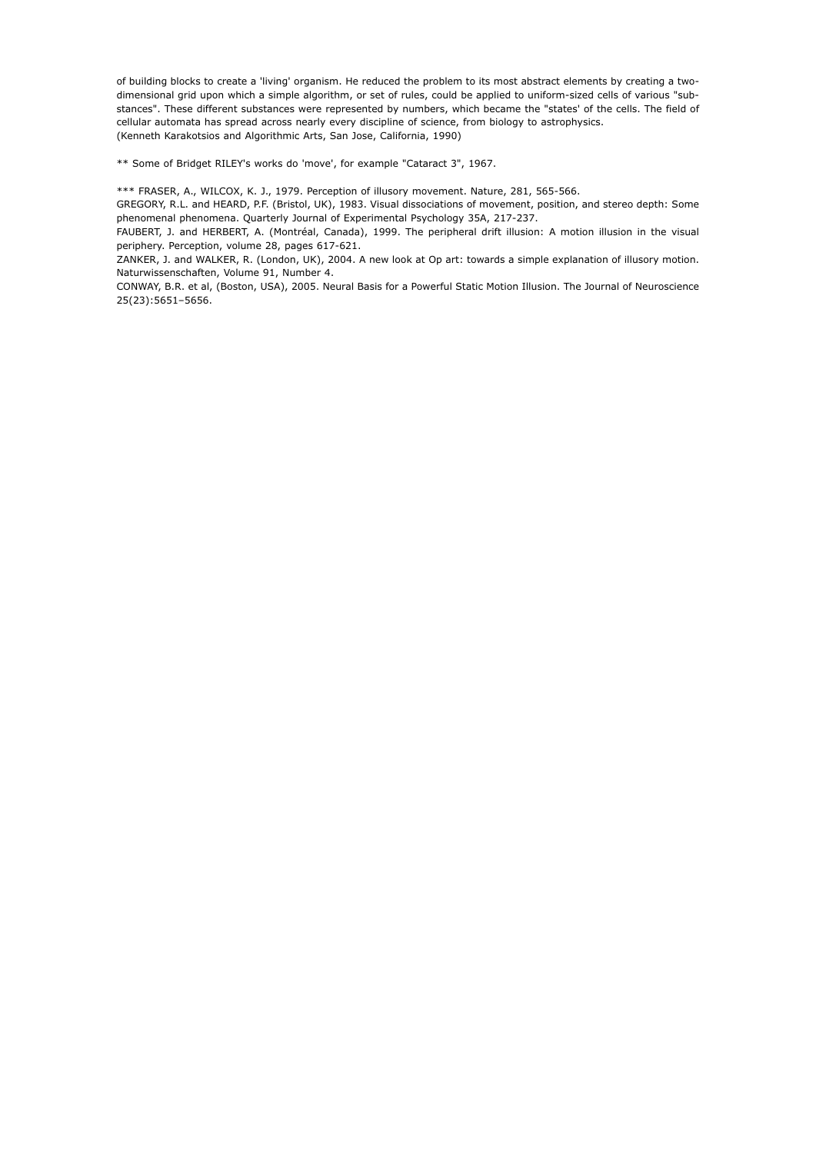of building blocks to create a 'living' organism. He reduced the problem to its most abstract elements by creating a twodimensional grid upon which a simple algorithm, or set of rules, could be applied to uniform-sized cells of various "substances". These different substances were represented by numbers, which became the "states' of the cells. The field of cellular automata has spread across nearly every discipline of science, from biology to astrophysics. (Kenneth Karakotsios and Algorithmic Arts, San Jose, California, 1990)

\*\* Some of Bridget RILEY's works do 'move', for example "Cataract 3", 1967.

\*\*\* FRASER, A., WILCOX, K. J., 1979. Perception of illusory movement. Nature, 281, 565-566.

GREGORY, R.L. and HEARD, P.F. (Bristol, UK), 1983. Visual dissociations of movement, position, and stereo depth: Some phenomenal phenomena. Quarterly Journal of Experimental Psychology 35A, 217-237.

FAUBERT, J. and HERBERT, A. (Montréal, Canada), 1999. The peripheral drift illusion: A motion illusion in the visual periphery. Perception, volume 28, pages 617-621.

ZANKER, J. and WALKER, R. (London, UK), 2004. A new look at Op art: towards a simple explanation of illusory motion. Naturwissenschaften, Volume 91, Number 4.

CONWAY, B.R. et al, (Boston, USA), 2005. Neural Basis for a Powerful Static Motion Illusion. The Journal of Neuroscience 25(23):5651–5656.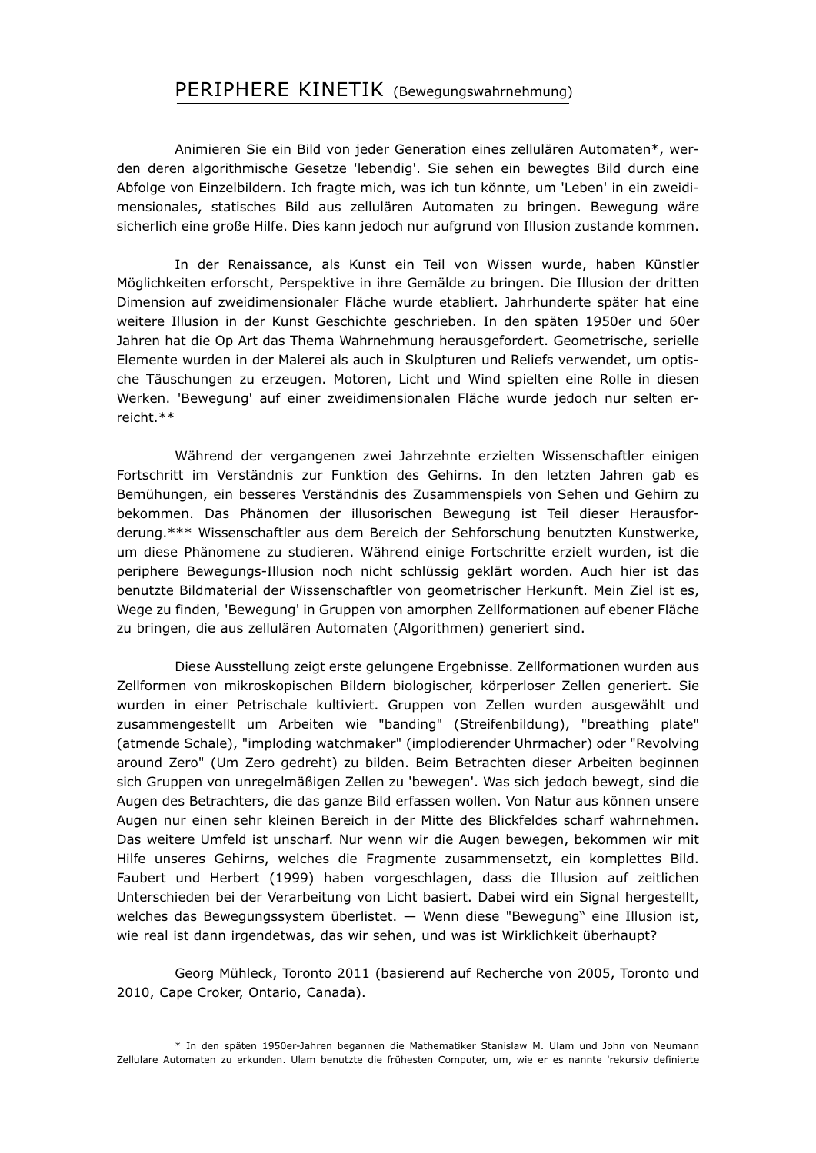## PERIPHERE KINETIK (Bewegungswahrnehmung)

Animieren Sie ein Bild von jeder Generation eines zellulären Automaten\*, werden deren algorithmische Gesetze 'lebendig'. Sie sehen ein bewegtes Bild durch eine Abfolge von Einzelbildern. Ich fragte mich, was ich tun könnte, um 'Leben' in ein zweidimensionales, statisches Bild aus zellulären Automaten zu bringen. Bewegung wäre sicherlich eine große Hilfe. Dies kann jedoch nur aufgrund von Illusion zustande kommen.

In der Renaissance, als Kunst ein Teil von Wissen wurde, haben Künstler Möglichkeiten erforscht, Perspektive in ihre Gemälde zu bringen. Die Illusion der dritten Dimension auf zweidimensionaler Fläche wurde etabliert. Jahrhunderte später hat eine weitere Illusion in der Kunst Geschichte geschrieben. In den späten 1950er und 60er Jahren hat die Op Art das Thema Wahrnehmung herausgefordert. Geometrische, serielle Elemente wurden in der Malerei als auch in Skulpturen und Reliefs verwendet, um optische Täuschungen zu erzeugen. Motoren, Licht und Wind spielten eine Rolle in diesen Werken. 'Bewegung' auf einer zweidimensionalen Fläche wurde jedoch nur selten erreicht.\*\*

Während der vergangenen zwei Jahrzehnte erzielten Wissenschaftler einigen Fortschritt im Verständnis zur Funktion des Gehirns. In den letzten Jahren gab es Bemühungen, ein besseres Verständnis des Zusammenspiels von Sehen und Gehirn zu bekommen. Das Phänomen der illusorischen Bewegung ist Teil dieser Herausforderung.\*\*\* Wissenschaftler aus dem Bereich der Sehforschung benutzten Kunstwerke, um diese Phänomene zu studieren. Während einige Fortschritte erzielt wurden, ist die periphere Bewegungs-Illusion noch nicht schlüssig geklärt worden. Auch hier ist das benutzte Bildmaterial der Wissenschaftler von geometrischer Herkunft. Mein Ziel ist es, Wege zu finden, 'Bewegung' in Gruppen von amorphen Zellformationen auf ebener Fläche zu bringen, die aus zellulären Automaten (Algorithmen) generiert sind.

Diese Ausstellung zeigt erste gelungene Ergebnisse. Zellformationen wurden aus Zellformen von mikroskopischen Bildern biologischer, körperloser Zellen generiert. Sie wurden in einer Petrischale kultiviert. Gruppen von Zellen wurden ausgewählt und zusammengestellt um Arbeiten wie "banding" (Streifenbildung), "breathing plate" (atmende Schale), "imploding watchmaker" (implodierender Uhrmacher) oder "Revolving around Zero" (Um Zero gedreht) zu bilden. Beim Betrachten dieser Arbeiten beginnen sich Gruppen von unregelmäßigen Zellen zu 'bewegen'. Was sich jedoch bewegt, sind die Augen des Betrachters, die das ganze Bild erfassen wollen. Von Natur aus können unsere Augen nur einen sehr kleinen Bereich in der Mitte des Blickfeldes scharf wahrnehmen. Das weitere Umfeld ist unscharf. Nur wenn wir die Augen bewegen, bekommen wir mit Hilfe unseres Gehirns, welches die Fragmente zusammensetzt, ein komplettes Bild. Faubert und Herbert (1999) haben vorgeschlagen, dass die Illusion auf zeitlichen Unterschieden bei der Verarbeitung von Licht basiert. Dabei wird ein Signal hergestellt, welches das Bewegungssystem überlistet. — Wenn diese "Bewegung" eine Illusion ist, wie real ist dann irgendetwas, das wir sehen, und was ist Wirklichkeit überhaupt?

Georg Mühleck, Toronto 2011 (basierend auf Recherche von 2005, Toronto und 2010, Cape Croker, Ontario, Canada).

\* In den späten 1950er-Jahren begannen die Mathematiker Stanislaw M. Ulam und John von Neumann Zellulare Automaten zu erkunden. Ulam benutzte die frühesten Computer, um, wie er es nannte 'rekursiv definierte